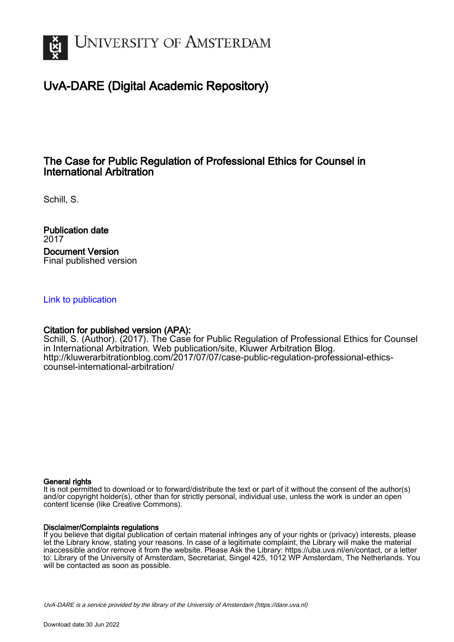

# UvA-DARE (Digital Academic Repository)

## The Case for Public Regulation of Professional Ethics for Counsel in International Arbitration

Schill, S.

Publication date 2017 Document Version Final published version

### [Link to publication](https://dare.uva.nl/personal/pure/en/publications/the-case-for-public-regulation-of-professional-ethics-for-counsel-in-international-arbitration(755bec83-9e34-4fc0-82ec-93dbef4f8478).html)

### Citation for published version (APA):

Schill, S. (Author). (2017). The Case for Public Regulation of Professional Ethics for Counsel in International Arbitration. Web publication/site, Kluwer Arbitration Blog. [http://kluwerarbitrationblog.com/2017/07/07/case-public-regulation-professional-ethics](http://kluwerarbitrationblog.com/2017/07/07/case-public-regulation-professional-ethics-counsel-international-arbitration/)[counsel-international-arbitration/](http://kluwerarbitrationblog.com/2017/07/07/case-public-regulation-professional-ethics-counsel-international-arbitration/)

### General rights

It is not permitted to download or to forward/distribute the text or part of it without the consent of the author(s) and/or copyright holder(s), other than for strictly personal, individual use, unless the work is under an open content license (like Creative Commons).

### Disclaimer/Complaints regulations

If you believe that digital publication of certain material infringes any of your rights or (privacy) interests, please let the Library know, stating your reasons. In case of a legitimate complaint, the Library will make the material inaccessible and/or remove it from the website. Please Ask the Library: https://uba.uva.nl/en/contact, or a letter to: Library of the University of Amsterdam, Secretariat, Singel 425, 1012 WP Amsterdam, The Netherlands. You will be contacted as soon as possible.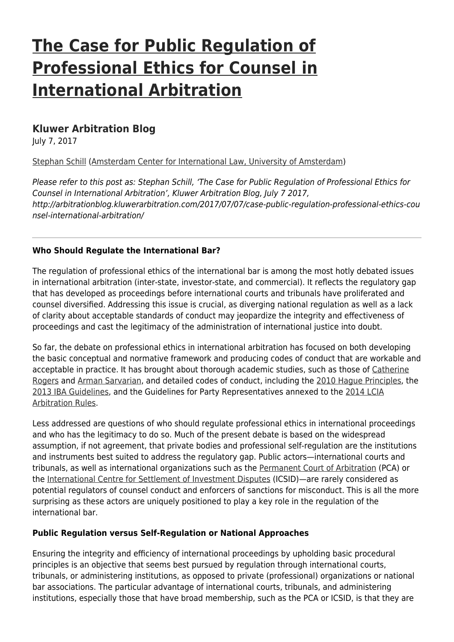# **[The Case for Public Regulation of](http://arbitrationblog.kluwerarbitration.com/2017/07/07/case-public-regulation-professional-ethics-counsel-international-arbitration/) [Professional Ethics for Counsel in](http://arbitrationblog.kluwerarbitration.com/2017/07/07/case-public-regulation-professional-ethics-counsel-international-arbitration/) [International Arbitration](http://arbitrationblog.kluwerarbitration.com/2017/07/07/case-public-regulation-professional-ethics-counsel-international-arbitration/)**

## **[Kluwer Arbitration Blog](http://arbitrationblog.kluwerarbitration.com)**

July 7, 2017

[Stephan Schill](http://arbitrationblog.kluwerarbitration.com/author/stephan-schill/) [\(Amsterdam Center for International Law, University of Amsterdam\)](http://www.uva.nl/en/disciplines/law)

Please refer to this post as: Stephan Schill, 'The Case for Public Regulation of Professional Ethics for Counsel in International Arbitration', Kluwer Arbitration Blog, July 7 2017, http://arbitrationblog.kluwerarbitration.com/2017/07/07/case-public-regulation-professional-ethics-cou nsel-international-arbitration/

### **Who Should Regulate the International Bar?**

The regulation of professional ethics of the international bar is among the most hotly debated issues in international arbitration (inter-state, investor-state, and commercial). It reflects the regulatory gap that has developed as proceedings before international courts and tribunals have proliferated and counsel diversified. Addressing this issue is crucial, as diverging national regulation as well as a lack of clarity about acceptable standards of conduct may jeopardize the integrity and effectiveness of proceedings and cast the legitimacy of the administration of international justice into doubt.

So far, the debate on professional ethics in international arbitration has focused on both developing the basic conceptual and normative framework and producing codes of conduct that are workable and acceptable in practice. It has brought about thorough academic studies, such as those of [Catherine](https://global.oup.com/academic/product/ethics-in-international-arbitration-9780195337693?cc=de&lang=en&) [Rogers](https://global.oup.com/academic/product/ethics-in-international-arbitration-9780195337693?cc=de&lang=en&) and [Arman Sarvarian](https://global.oup.com/academic/product/professional-ethics-at-the-international-bar-9780199679461?cc=de&lang=en&), and detailed codes of conduct, including the [2010 Hague Principles](http://www.ucl.ac.uk/laws/cict/docs/Hague_Sept2010.pdf), the [2013 IBA Guidelines,](http://www.ibanet.org/Publications/publications_IBA_guides_and_free_materials.aspx) and the Guidelines for Party Representatives annexed to the [2014 LCIA](http://www.lcia.org/dispute_resolution_services/lcia-arbitration-rules-2014.aspx) [Arbitration Rules.](http://www.lcia.org/dispute_resolution_services/lcia-arbitration-rules-2014.aspx)

Less addressed are questions of who should regulate professional ethics in international proceedings and who has the legitimacy to do so. Much of the present debate is based on the widespread assumption, if not agreement, that private bodies and professional self-regulation are the institutions and instruments best suited to address the regulatory gap. Public actors—international courts and tribunals, as well as international organizations such as the [Permanent Court of Arbitration](https://pca-cpa.org/) (PCA) or the [International Centre for Settlement of Investment Disputes](https://icsid.worldbank.org/en/) (ICSID)—are rarely considered as potential regulators of counsel conduct and enforcers of sanctions for misconduct. This is all the more surprising as these actors are uniquely positioned to play a key role in the regulation of the international bar.

### **Public Regulation versus Self-Regulation or National Approaches**

Ensuring the integrity and efficiency of international proceedings by upholding basic procedural principles is an objective that seems best pursued by regulation through international courts, tribunals, or administering institutions, as opposed to private (professional) organizations or national bar associations. The particular advantage of international courts, tribunals, and administering institutions, especially those that have broad membership, such as the PCA or ICSID, is that they are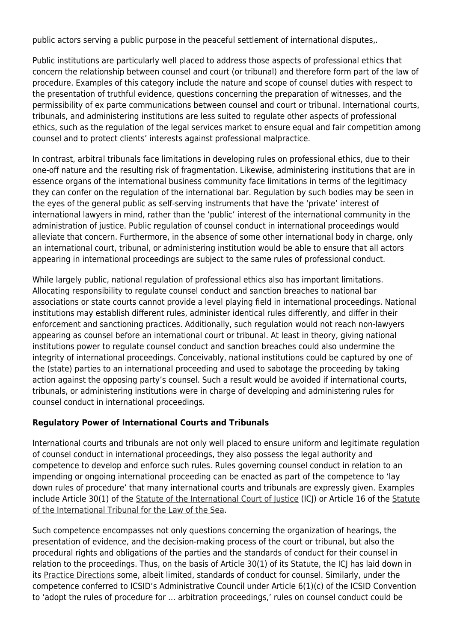public actors serving a public purpose in the peaceful settlement of international disputes,.

Public institutions are particularly well placed to address those aspects of professional ethics that concern the relationship between counsel and court (or tribunal) and therefore form part of the law of procedure. Examples of this category include the nature and scope of counsel duties with respect to the presentation of truthful evidence, questions concerning the preparation of witnesses, and the permissibility of ex parte communications between counsel and court or tribunal. International courts, tribunals, and administering institutions are less suited to regulate other aspects of professional ethics, such as the regulation of the legal services market to ensure equal and fair competition among counsel and to protect clients' interests against professional malpractice.

In contrast, arbitral tribunals face limitations in developing rules on professional ethics, due to their one-off nature and the resulting risk of fragmentation. Likewise, administering institutions that are in essence organs of the international business community face limitations in terms of the legitimacy they can confer on the regulation of the international bar. Regulation by such bodies may be seen in the eyes of the general public as self-serving instruments that have the 'private' interest of international lawyers in mind, rather than the 'public' interest of the international community in the administration of justice. Public regulation of counsel conduct in international proceedings would alleviate that concern. Furthermore, in the absence of some other international body in charge, only an international court, tribunal, or administering institution would be able to ensure that all actors appearing in international proceedings are subject to the same rules of professional conduct.

While largely public, national regulation of professional ethics also has important limitations. Allocating responsibility to regulate counsel conduct and sanction breaches to national bar associations or state courts cannot provide a level playing field in international proceedings. National institutions may establish different rules, administer identical rules differently, and differ in their enforcement and sanctioning practices. Additionally, such regulation would not reach non-lawyers appearing as counsel before an international court or tribunal. At least in theory, giving national institutions power to regulate counsel conduct and sanction breaches could also undermine the integrity of international proceedings. Conceivably, national institutions could be captured by one of the (state) parties to an international proceeding and used to sabotage the proceeding by taking action against the opposing party's counsel. Such a result would be avoided if international courts, tribunals, or administering institutions were in charge of developing and administering rules for counsel conduct in international proceedings.

### **Regulatory Power of International Courts and Tribunals**

International courts and tribunals are not only well placed to ensure uniform and legitimate regulation of counsel conduct in international proceedings, they also possess the legal authority and competence to develop and enforce such rules. Rules governing counsel conduct in relation to an impending or ongoing international proceeding can be enacted as part of the competence to 'lay down rules of procedure' that many international courts and tribunals are expressly given. Examples include Article 30(1) of the [Statute of the International Court of Justice](http://www.icj-cij.org/documents/?p1=4&p2=2) (ICJ) or Article 16 of the [Statute](https://www.itlos.org/fileadmin/itlos/documents/basic_texts/statute_en.pdf) [of the International Tribunal for the Law of the Sea](https://www.itlos.org/fileadmin/itlos/documents/basic_texts/statute_en.pdf).

Such competence encompasses not only questions concerning the organization of hearings, the presentation of evidence, and the decision-making process of the court or tribunal, but also the procedural rights and obligations of the parties and the standards of conduct for their counsel in relation to the proceedings. Thus, on the basis of Article 30(1) of its Statute, the ICJ has laid down in its [Practice Directions](http://www.icj-cij.org/documents/index.php?p1=4&p2=4&p3=0) some, albeit limited, standards of conduct for counsel. Similarly, under the competence conferred to ICSID's Administrative Council under Article 6(1)(c) of the ICSID Convention to 'adopt the rules of procedure for … arbitration proceedings,' rules on counsel conduct could be